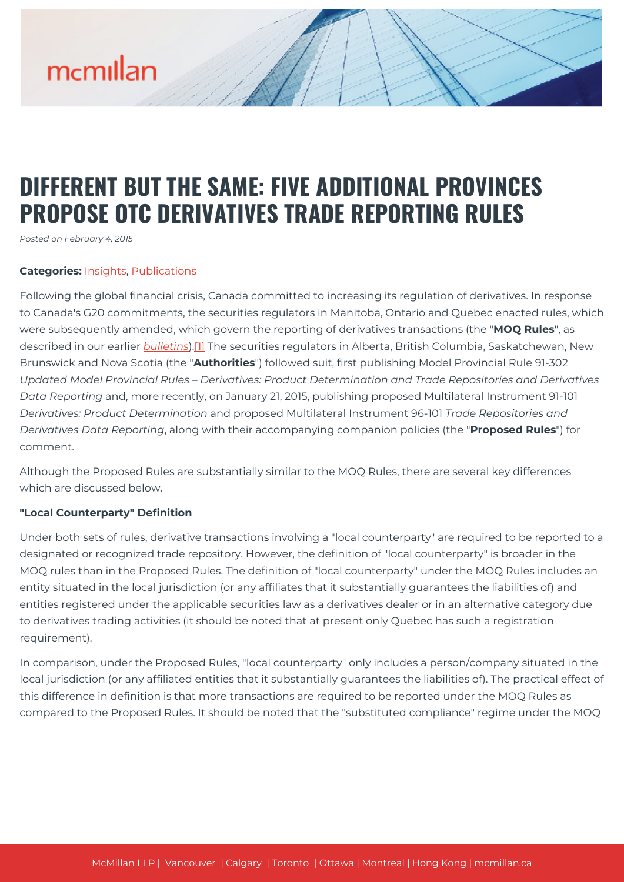# mcmillan

# **DIFFERENT BUT THE SAME: FIVE ADDITIONAL PROVINCES PROPOSE OTC DERIVATIVES TRADE REPORTING RULES**

*Posted on February 4, 2015*

#### **Categories:** [Insights,](https://mcmillan.ca/insights/) [Publications](https://mcmillan.ca/insights/publications/)

Following the global financial crisis, Canada committed to increasing its regulation of derivatives. In response to Canada's G20 commitments, the securities regulators in Manitoba, Ontario and Quebec enacted rules, which were subsequently amended, which govern the reporting of derivatives transactions (the "**MOQ Rules**", as described in our earlier *[bulletins](https://mcmillan.ca/insights/the-last-word-on-reporting-final-ontario-rules-with-respect-to-trade-reporting-released/)*)[.\[1\]](#page--1-0) The securities regulators in Alberta, British Columbia, Saskatchewan, New Brunswick and Nova Scotia (the "**Authorities**") followed suit, first publishing Model Provincial Rule 91-302 *Updated Model Provincial Rules – Derivatives: Product Determination and Trade Repositories and Derivatives Data Reporting* and, more recently, on January 21, 2015, publishing proposed Multilateral Instrument 91-101 *Derivatives: Product Determination* and proposed Multilateral Instrument 96-101 *Trade Repositories and Derivatives Data Reporting*, along with their accompanying companion policies (the "**Proposed Rules**") for comment.

Although the Proposed Rules are substantially similar to the MOQ Rules, there are several key differences which are discussed below.

#### **"Local Counterparty" Definition**

Under both sets of rules, derivative transactions involving a "local counterparty" are required to be reported to a designated or recognized trade repository. However, the definition of "local counterparty" is broader in the MOQ rules than in the Proposed Rules. The definition of "local counterparty" under the MOQ Rules includes an entity situated in the local jurisdiction (or any affiliates that it substantially guarantees the liabilities of) and entities registered under the applicable securities law as a derivatives dealer or in an alternative category due to derivatives trading activities (it should be noted that at present only Quebec has such a registration requirement).

In comparison, under the Proposed Rules, "local counterparty" only includes a person/company situated in the local jurisdiction (or any affiliated entities that it substantially guarantees the liabilities of). The practical effect of this difference in definition is that more transactions are required to be reported under the MOQ Rules as compared to the Proposed Rules. It should be noted that the "substituted compliance" regime under the MOQ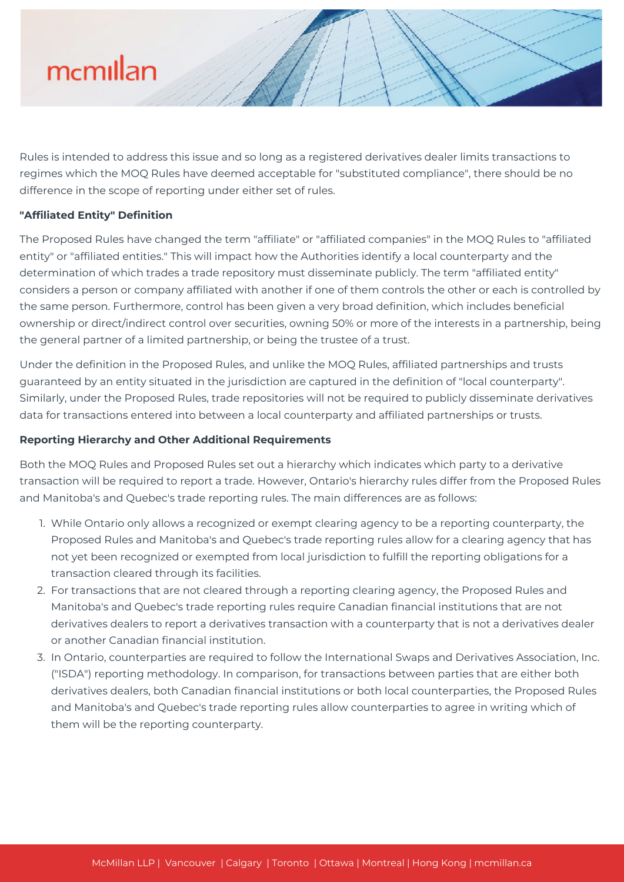

Rules is intended to address this issue and so long as a registered derivatives dealer limits transactions to regimes which the MOQ Rules have deemed acceptable for "substituted compliance", there should be no difference in the scope of reporting under either set of rules.

## **"Affiliated Entity" Definition**

The Proposed Rules have changed the term "affiliate" or "affiliated companies" in the MOQ Rules to "affiliated entity" or "affiliated entities." This will impact how the Authorities identify a local counterparty and the determination of which trades a trade repository must disseminate publicly. The term "affiliated entity" considers a person or company affiliated with another if one of them controls the other or each is controlled by the same person. Furthermore, control has been given a very broad definition, which includes beneficial ownership or direct/indirect control over securities, owning 50% or more of the interests in a partnership, being the general partner of a limited partnership, or being the trustee of a trust.

Under the definition in the Proposed Rules, and unlike the MOQ Rules, affiliated partnerships and trusts guaranteed by an entity situated in the jurisdiction are captured in the definition of "local counterparty". Similarly, under the Proposed Rules, trade repositories will not be required to publicly disseminate derivatives data for transactions entered into between a local counterparty and affiliated partnerships or trusts.

## **Reporting Hierarchy and Other Additional Requirements**

Both the MOQ Rules and Proposed Rules set out a hierarchy which indicates which party to a derivative transaction will be required to report a trade. However, Ontario's hierarchy rules differ from the Proposed Rules and Manitoba's and Quebec's trade reporting rules. The main differences are as follows:

- 1. While Ontario only allows a recognized or exempt clearing agency to be a reporting counterparty, the Proposed Rules and Manitoba's and Quebec's trade reporting rules allow for a clearing agency that has not yet been recognized or exempted from local jurisdiction to fulfill the reporting obligations for a transaction cleared through its facilities.
- 2. For transactions that are not cleared through a reporting clearing agency, the Proposed Rules and Manitoba's and Quebec's trade reporting rules require Canadian financial institutions that are not derivatives dealers to report a derivatives transaction with a counterparty that is not a derivatives dealer or another Canadian financial institution.
- 3. In Ontario, counterparties are required to follow the International Swaps and Derivatives Association, Inc. ("ISDA") reporting methodology. In comparison, for transactions between parties that are either both derivatives dealers, both Canadian financial institutions or both local counterparties, the Proposed Rules and Manitoba's and Quebec's trade reporting rules allow counterparties to agree in writing which of them will be the reporting counterparty.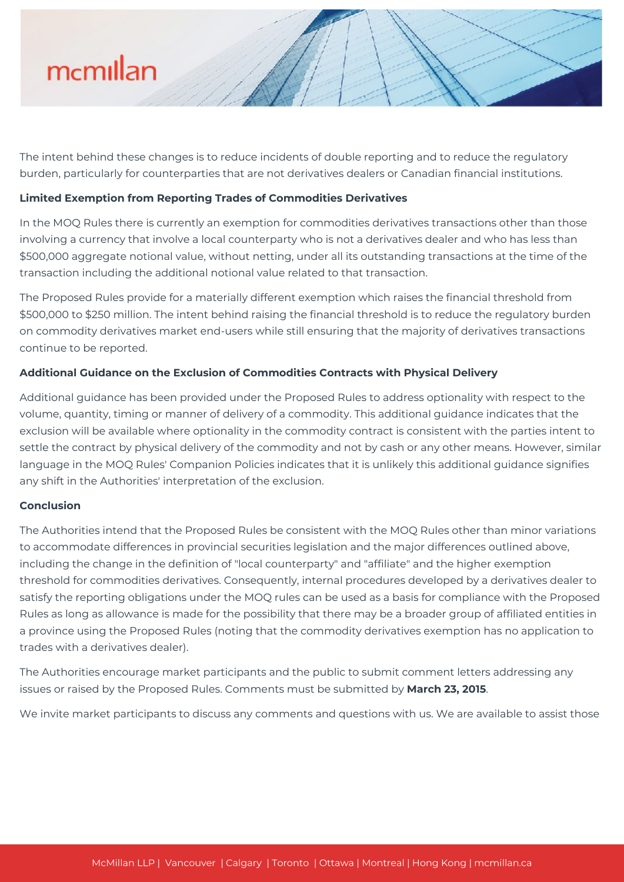

The intent behind these changes is to reduce incidents of double reporting and to reduce the regulatory burden, particularly for counterparties that are not derivatives dealers or Canadian financial institutions.

#### **Limited Exemption from Reporting Trades of Commodities Derivatives**

In the MOQ Rules there is currently an exemption for commodities derivatives transactions other than those involving a currency that involve a local counterparty who is not a derivatives dealer and who has less than \$500,000 aggregate notional value, without netting, under all its outstanding transactions at the time of the transaction including the additional notional value related to that transaction.

The Proposed Rules provide for a materially different exemption which raises the financial threshold from \$500,000 to \$250 million. The intent behind raising the financial threshold is to reduce the regulatory burden on commodity derivatives market end-users while still ensuring that the majority of derivatives transactions continue to be reported.

#### **Additional Guidance on the Exclusion of Commodities Contracts with Physical Delivery**

Additional guidance has been provided under the Proposed Rules to address optionality with respect to the volume, quantity, timing or manner of delivery of a commodity. This additional guidance indicates that the exclusion will be available where optionality in the commodity contract is consistent with the parties intent to settle the contract by physical delivery of the commodity and not by cash or any other means. However, similar language in the MOQ Rules' Companion Policies indicates that it is unlikely this additional guidance signifies any shift in the Authorities' interpretation of the exclusion.

#### **Conclusion**

The Authorities intend that the Proposed Rules be consistent with the MOQ Rules other than minor variations to accommodate differences in provincial securities legislation and the major differences outlined above, including the change in the definition of "local counterparty" and "affiliate" and the higher exemption threshold for commodities derivatives. Consequently, internal procedures developed by a derivatives dealer to satisfy the reporting obligations under the MOQ rules can be used as a basis for compliance with the Proposed Rules as long as allowance is made for the possibility that there may be a broader group of affiliated entities in a province using the Proposed Rules (noting that the commodity derivatives exemption has no application to trades with a derivatives dealer).

The Authorities encourage market participants and the public to submit comment letters addressing any issues or raised by the Proposed Rules. Comments must be submitted by **March 23, 2015**.

We invite market participants to discuss any comments and questions with us. We are available to assist those